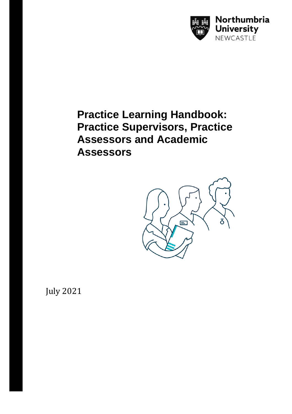

# **Practice Learning Handbook: Practice Supervisors, Practice Assessors and Academic Assessors**



July 2021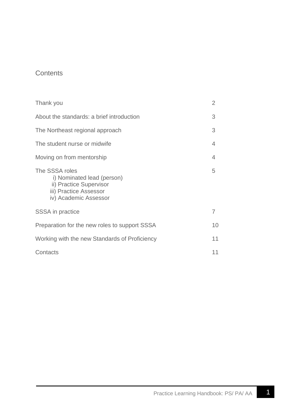# **Contents**

| Thank you                                                                                                                  | $\mathcal{P}$ |
|----------------------------------------------------------------------------------------------------------------------------|---------------|
| About the standards: a brief introduction                                                                                  | 3             |
| The Northeast regional approach                                                                                            | 3             |
| The student nurse or midwife                                                                                               | 4             |
| Moving on from mentorship                                                                                                  | 4             |
| The SSSA roles<br>i) Nominated lead (person)<br>ii) Practice Supervisor<br>iii) Practice Assessor<br>iv) Academic Assessor | 5             |
| <b>SSSA</b> in practice                                                                                                    | 7             |
| Preparation for the new roles to support SSSA                                                                              | 10            |
| Working with the new Standards of Proficiency                                                                              | 11            |
| Contacts                                                                                                                   | 11            |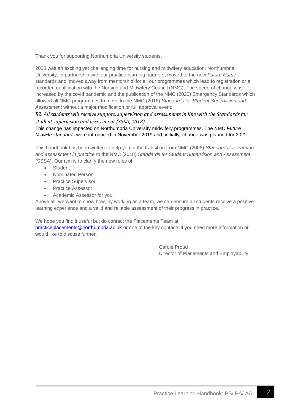Thank you for supporting Northumbria University students.

2020 was an exciting yet challenging time for nursing and midwifery education. Northumbria University, in partnership with our practice learning partners, moved to the new *Future Nurse*  standards and 'moved away from mentorship' for all our programmes which lead to registration or a recorded qualification with the Nursing and Midwifery Council (NMC). The speed of change was increased by the covid pandemic and the publication of the NMC (2020) Emergency Standards which allowed all NMC programmes to move to the NMC (2018) *Standards for Student Supervision and Assessment* without a major modification or full approval event:

### *R2. All students will receive support, supervision and assessments in line with the Standards for student supervision and assessment (SSSA, 2018).*

#### This change has impacted on Northumbria University midwifery programmes. The NMC *Future Midwife standards* were introduced in November 2019 and, initially, change was planned for 2022.

This handbook has been written to help you in the transition from NMC (2008) *Standards for learning and assessment in practice* to the NMC (2018) *Standards for Student Supervision and Assessment*  (SSSA). Our aim is to clarify the new roles of:

- **Student**
- Nominated Person
- Practice Supervisor
- Practice Assessor
- Academic Assessor for you.

Above all, we want to show how, by working as a team, we can ensure all students receive a positive learning experience and a valid and reliable assessment of their progress in practice.

We hope you find it useful but do contact the Placements Team at

[practiceplacements@northumbria.ac.uk](mailto:practiceplacements@northumbria.ac.uk) or one of the key contacts if you need more information or would like to discuss further.

> Carole Proud Director of Placements and Employability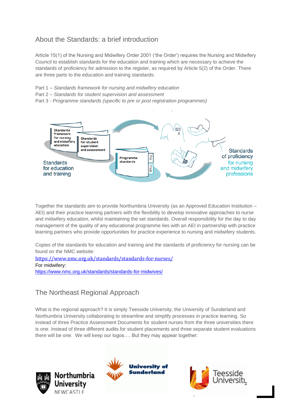# About the Standards: a brief introduction

Article 15(1) of the Nursing and Midwifery Order 2001 ('the Order') requires the Nursing and Midwifery Council to establish standards for the education and training which are necessary to achieve the standards of proficiency for admission to the register, as required by Article 5(2) of the Order. There are three parts to the education and training standards:

- Part 1 *Standards framework for nursing and midwifery education*
- Part 2 *Standards for student supervision and assessment*
- Part 3 *Programme standards (specific to pre or post registration programmes)*



Together the standards aim to provide Northumbria University (as an Approved Education Institution – AEI) and their practice learning partners with the flexibility to develop innovative approaches to nurse and midwifery education, whilst maintaining the set standards. Overall responsibility for the day to day management of the quality of any educational programme lies with an AEI in partnership with practice learning partners who provide opportunities for practice experience to nursing and midwifery students.

Copies of the standards for education and training and the standards of proficiency for nursing can be found on the NMC website:

<https://www.nmc.org.uk/standards/standards-for-nurses/> For midwifery: <https://www.nmc.org.uk/standards/standards-for-midwives/>

# The Northeast Regional Approach

What is the regional approach? It is simply Teesside University, the University of Sunderland and Northumbria University collaborating to streamline and simplify processes in practice learning. So instead of three Practice Assessment Documents for student nurses from the three universities there is one. Instead of three different audits for student placements and three separate student evaluations there will be one. We will keep our logos…. But they may appear together:



**Northumbria** University NEWCASTI F



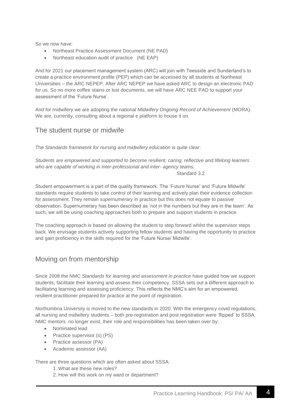So we now have:

- Northeast Practice Assessment Document (NE PAD)
- Northeast education audit of practice (NE EAP)

And for 2021 our placement management system (ARC) will join with Teesside and Sunderland's to create a practice environment profile (PEP) which can be accessed by all students at Northeast Universities – the ARC NEPEP. After ARC NEPEP we have asked ARC to design an electronic PAD for us. So no more coffee stains or lost documents, we will have ARC NEE PAD to support your assessment of the 'Future Nurse'.

And for midwifery we are adopting the national *Midwifery Ongoing Record of Achievement* (MORA). We are, currently, consulting about a regional e platform to house it on.

### The student nurse or midwife

The *Standards framework for nursing and midwifery education* is quite clear:

*Students are empowered and supported to become resilient, caring, reflective and lifelong learners who are capable of working in inter-professional and inter- agency teams.*

Standard 3.2

Student empowerment is a part of the quality framework. The 'Future Nurse' and 'Future Midwife' standards require students to take control of their learning and actively plan their evidence collection for assessment. They remain *supernumerary* in practice but this does not equate to passive observation. Supernumerary has been described as 'not in the numbers but they are in the team'. As such, we will be using coaching approaches both to prepare and support students in practice.

The coaching approach is based on allowing the student to step forward whilst the supervisor steps back. We envisage students actively supporting fellow students and having the opportunity to practice and gain proficiency in the skills required for the 'Future Nurse/ Midwife'.

## Moving on from mentorship

Since 2008 the NMC *Standards for learning and assessment in practice* have guided how we support students, facilitate their learning and assess their competency. SSSA sets out a different approach to facilitating learning and assessing proficiency. This reflects the NMC's aim for an empowered, resilient practitioner prepared for practice at the point of registration.

Northumbria University is moved to the new standards in 2020. With the emergency covid regulations, all nursing and midwifery students – both pre-registration and post registration were 'flipped' to SSSA. NMC mentors no longer exist, their role and responsibilities has been taken over by:

- Nominated lead
- Practice supervisor (s) (PS)
- Practice assessor (PA)
- Academic assessor (AA)

There are three questions which are often asked about SSSA:

- 1. What are these new roles?
- 2. How will this work on my ward or department?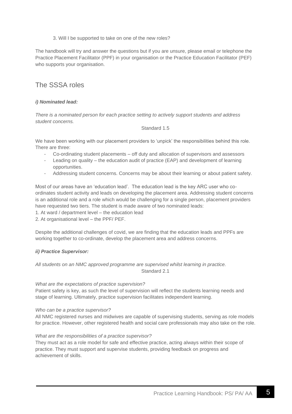3. Will I be supported to take on one of the new roles?

The handbook will try and answer the questions but if you are unsure, please email or telephone the Practice Placement Facilitator (PPF) in your organisation or the Practice Education Facilitator (PEF) who supports your organisation.

### The SSSA roles

#### *i) Nominated lead:*

*There is a nominated person for each practice setting to actively support students and address student concerns.*

#### Standard 1.5

We have been working with our placement providers to 'unpick' the responsibilities behind this role. There are three:

- Co-ordinating student placements off duty and allocation of supervisors and assessors
- Leading on quality the education audit of practice (EAP) and development of learning opportunities.
- Addressing student concerns. Concerns may be about their learning or about patient safety.

Most of our areas have an 'education lead'. The education lead is the key ARC user who coordinates student activity and leads on developing the placement area. Addressing student concerns is an additional role and a role which would be challenging for a single person, placement providers have requested two tiers. The student is made aware of two nominated leads:

1. At ward / department level – the education lead

2. At organisational level – the PPF/ PEF.

Despite the additional challenges of covid, we are finding that the education leads and PPFs are working together to co-ordinate, develop the placement area and address concerns.

#### *ii) Practice Supervisor:*

#### *All students on an NMC approved programme are supervised whilst learning in practice.* Standard 2.1

#### *What are the expectations of practice supervision?*

Patient safety is key, as such the level of supervision will reflect the students learning needs and stage of learning. Ultimately, practice supervision facilitates independent learning.

#### *Who can be a practice supervisor?*

All NMC registered nurses and midwives are capable of supervising students, serving as role models for practice. However, other registered health and social care professionals may also take on the role.

#### *What are the responsibilities of a practice supervisor?*

They must act as a role model for safe and effective practice, acting always within their scope of practice. They must support and supervise students, providing feedback on progress and achievement of skills.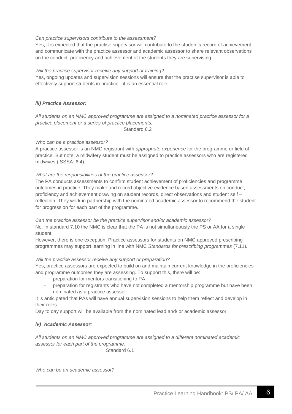#### *Can practice supervisors contribute to the assessment?*

Yes, it is expected that the practise supervisor will contribute to the student's record of achievement and communicate with the practice assessor and academic assessor to share relevant observations on the conduct, proficiency and achievement of the students they are supervising.

#### *Will the practice supervisor receive any support or training?*

Yes, ongoing updates and supervision sessions will ensure that the practise supervisor is able to effectively support students in practice - it is an essential role.

#### *iii) Practice Assessor:*

*All students on an NMC approved programme are assigned to a nominated practice assessor for a practice placement or a series of practice placements.* Standard 6.2

#### *Who can be a practice assessor?*

A practice assessor is an NMC registrant with *appropriate experience* for the programme or field of practice. But note, a midwifery student must be assigned to practice assessors who are registered midwives ( SSSA: 6.4).

#### *What are the responsibilities of the practice assessor?*

The PA conducts assessments to confirm student achievement of proficiencies and programme outcomes in practice. They make and record objective evidence based assessments on conduct, proficiency and achievement drawing on student records, direct observations and student self – reflection. They work in partnership with the nominated academic assessor to recommend the student for progression for each part of the programme.

*Can the practice assessor be the practice supervisor and/or academic assessor?* No. In standard 7.10 the NMC is clear that the PA is not simultaneously the PS or AA for a single student.

However, there is one exception! Practice assessors for students on NMC approved prescribing programmes may support learning in line with NMC *Standards for prescribing programmes* (7.11)*.*

#### *Will the practice assessor receive any support or preparation?*

Yes, practice assessors are expected to build on and maintain current knowledge in the proficiencies and programme outcomes they are assessing. To support this, there will be:

- preparation for mentors transitioning to PA
- preparation for registrants who have not completed a mentorship programme but have been nominated as a practice assessor.

It is anticipated that PAs will have annual supervision sessions to help them reflect and develop in their roles.

Day to day support will be available from the nominated lead and/ or academic assessor.

#### *iv) Academic Assessor:*

*All students on an NMC approved programme are assigned to a different nominated academic assessor for each part of the programme.*

Standard 6.1

*Who can be an academic assessor?*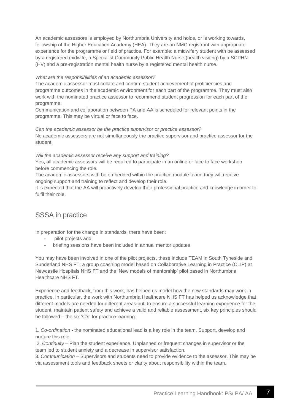An academic assessors is employed by Northumbria University and holds, or is working towards, fellowship of the Higher Education Academy (HEA). They are an NMC registrant with appropriate experience for the programme or field of practice. For example: a midwifery student with be assessed by a registered midwife, a Specialist Community Public Health Nurse (health visiting) by a SCPHN (HV) and a pre-registration mental health nurse by a registered mental health nurse.

#### *What are the responsibilities of an academic assessor?*

The academic assessor must collate and confirm student achievement of proficiencies and programme outcomes in the academic environment for each part of the programme. They must also work with the nominated practice assessor to recommend student progression for each part of the programme.

Communication and collaboration between PA and AA is scheduled for relevant points in the programme. This may be virtual or face to face.

*Can the academic assessor be the practice supervisor or practice assessor?* No academic assessors are not simultaneously the practice supervisor and practice assessor for the student.

#### *Will the academic assessor receive any support and training?*

Yes, all academic assessors will be required to participate in an online or face to face workshop before commencing the role.

The academic assessors with be embedded within the practice module team, they will receive ongoing support and training to reflect and develop their role.

It is expected that the AA will proactively develop their professional practice and knowledge in order to fulfil their role.

# SSSA in practice

In preparation for the change in standards, there have been:

- pilot projects and
- briefing sessions have been included in annual mentor updates

You may have been involved in one of the pilot projects, these include TEAM in South Tyneside and Sunderland NHS FT; a group coaching model based on Collaborative Learning in Practice (CLIP) at Newcastle Hospitals NHS FT and the 'New models of mentorship' pilot based in Northumbria Healthcare NHS FT.

Experience and feedback, from this work, has helped us model how the new standards may work in practice. In particular, the work with Northumbria Healthcare NHS FT has helped us acknowledge that different models are needed for different areas but, to ensure a successful learning experience for the student, maintain patient safety and achieve a valid and reliable assessment, six key principles should be followed – the six 'C's' for practice learning:

1. *Co-ordination* - the nominated educational lead is a key role in the team. Support, develop and nurture this role.

2. *Continuity* – Plan the student experience. Unplanned or frequent changes in supervisor or the team led to student anxiety and a decrease in supervisor satisfaction.

3. *Communication* – Supervisors and students need to provide evidence to the assessor. This may be via assessment tools and feedback sheets or clarity about responsibility within the team.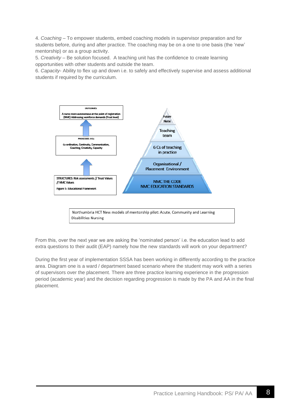4. *Coaching* – To empower students, embed coaching models in supervisor preparation and for students before, during and after practice. The coaching may be on a one to one basis (the 'new' mentorship) or as a group activity.

5. *Creativity* – Be solution focused. A teaching unit has the confidence to create learning opportunities with other students and outside the team.

6. *Capacity*- Ability to flex up and down i.e. to safely and effectively supervise and assess additional students if required by the curriculum.



Northumbria HCT New models of mentorship pilot: Acute, Community and Learning **Disabilities Nursing** 

From this, over the next year we are asking the 'nominated person' i.e. the education lead to add extra questions to their audit (EAP) namely how the new standards will work on your department?

During the first year of implementation SSSA has been working in differently according to the practice area. Diagram one is a ward / department based scenario where the student may work with a series of supervisors over the placement. There are three practice learning experience in the progression period (academic year) and the decision regarding progression is made by the PA and AA in the final placement.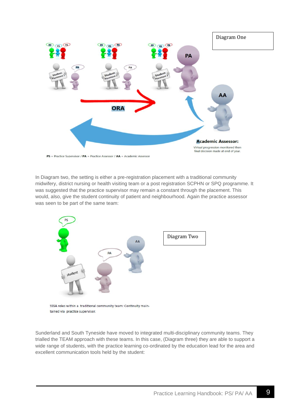

In Diagram two, the setting is either a pre-registration placement with a traditional community midwifery, district nursing or health visiting team or a post registration SCPHN or SPQ programme. It was suggested that the practice supervisor may remain a constant through the placement. This would, also, give the student continuity of patient and neighbourhood. Again the practice assessor



SSSA roles within a traditional community team: Continuity maintained via practice supervisor.

was seen to be part of the same team:

Sunderland and South Tyneside have moved to integrated multi-disciplinary community teams. They trialled the TEAM approach with these teams. In this case, (Diagram three) they are able to support a wide range of students, with the practice learning co-ordinated by the education lead for the area and excellent communication tools held by the student: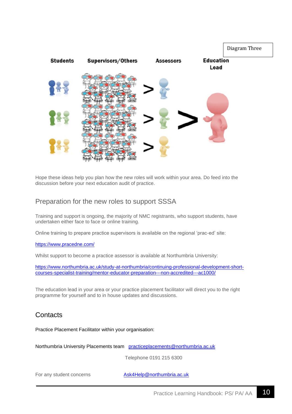

Hope these ideas help you plan how the new roles will work within your area. Do feed into the discussion before your next education audit of practice.

### Preparation for the new roles to support SSSA

Training and support is ongoing, the majority of NMC registrants, who support students, have undertaken either face to face or online training.

Online training to prepare practice supervisors is available on the regional 'prac-ed' site:

<https://www.pracedne.com/>

Whilst support to become a practice assessor is available at Northumbria University:

[https://www.northumbria.ac.uk/study-at-northumbria/continuing-professional-development-short](https://www.northumbria.ac.uk/study-at-northumbria/continuing-professional-development-short-courses-specialist-training/mentor-educator-preparation---non-accredited---ac1000/)[courses-specialist-training/mentor-educator-preparation---non-accredited---ac1000/](https://www.northumbria.ac.uk/study-at-northumbria/continuing-professional-development-short-courses-specialist-training/mentor-educator-preparation---non-accredited---ac1000/)

The education lead in your area or your practice placement facilitator will direct you to the right programme for yourself and to in house updates and discussions.

### **Contacts**

Practice Placement Facilitator within your organisation:

Northumbria University Placements team [practiceplacements@northumbria.ac.uk](mailto:practiceplacements@northumbria.ac.uk)

Telephone 0191 215 6300

For any student concerns **[Ask4Help@northumbria.ac.uk](mailto:Ask4Help@northumbria.ac.uk)**